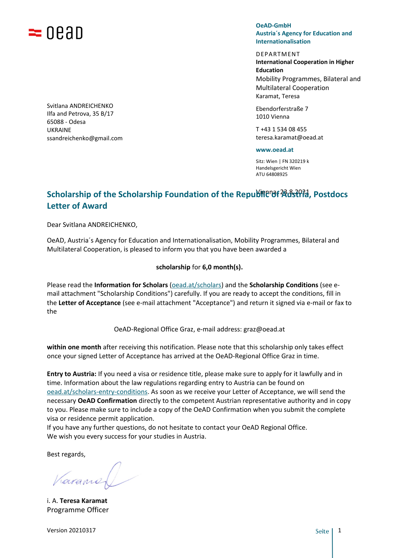# $=$  nean

Svitlana ANDREICHENKO Ilfa and Petrova, 35 B/17 65088 - Odesa UKRAINE ssandreichenko@gmail.com

### **OeAD-GmbH Austria´s Agency for Education and Internationalisation**

#### DEPARTMENT

**International Cooperation in Higher Education** Mobility Programmes, Bilateral and Multilateral Cooperation Karamat, Teresa

Ebendorferstraße 7 1010 Vienna

T +43 1 534 08 455 teresa.karamat@oead.at

#### **www.oead.at**

Sitz: Wien | FN 320219 k Handelsgericht Wien ATU 64808925

## $S$ cholarship of the Scholarship Foundation of the Repub<sup>l</sup>iใ<sup>p</sup>ປີກໍ*2*ໃຫ້<del>3ໃ</del>ກ່ໃສ່, Postdocs **Letter of Award**

Dear Svitlana ANDREICHENKO,

OeAD, Austria´s Agency for Education and Internationalisation, Mobility Programmes, Bilateral and Multilateral Cooperation, is pleased to inform you that you have been awarded a

### **scholarship** for **6,0 month(s).**

Please read the **Information for Scholars** [\(oead.at/scholars\)](https://oead.at/scholars) and the **Scholarship Conditions** (see email attachment "Scholarship Conditions") carefully. If you are ready to accept the conditions, fill in the **Letter of Acceptance** (see e-mail attachment "Acceptance") and return it signed via e-mail or fax to the

OeAD-Regional Office Graz, e-mail address: graz@oead.at

**within one month** after receiving this notification. Please note that this scholarship only takes effect once your signed Letter of Acceptance has arrived at the OeAD-Regional Office Graz in time.

**Entry to Austria:** If you need a visa or residence title, please make sure to apply for it lawfully and in time. Information about the law regulations regarding entry to Austria can be found on [oead.at/scholars-entry-conditions.](https://oead.at/scholars-entry-conditions) As soon as we receive your Letter of Acceptance, we will send the necessary **OeAD Confirmation** directly to the competent Austrian representative authority and in copy to you. Please make sure to include a copy of the OeAD Confirmation when you submit the complete visa or residence permit application.

If you have any further questions, do not hesitate to contact your OeAD Regional Office. We wish you every success for your studies in Austria.

Best regards,

Vorrano

i. A. **Teresa Karamat** Programme Officer

Version 20210317 Seite | 1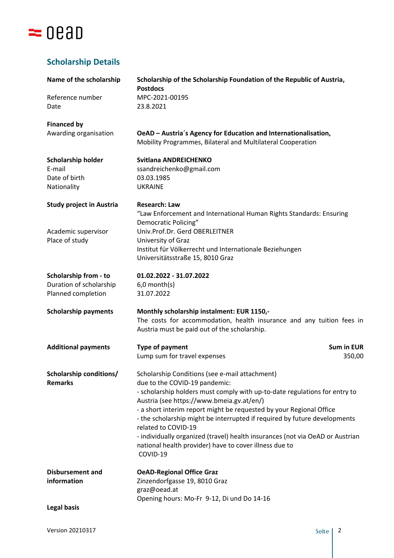# $= 000$

## **Scholarship Details**

| Name of the scholarship                   | Scholarship of the Scholarship Foundation of the Republic of Austria,<br><b>Postdocs</b>                                       |                   |
|-------------------------------------------|--------------------------------------------------------------------------------------------------------------------------------|-------------------|
| Reference number<br>Date                  | MPC-2021-00195<br>23.8.2021                                                                                                    |                   |
| <b>Financed by</b>                        |                                                                                                                                |                   |
| Awarding organisation                     | OeAD - Austria's Agency for Education and Internationalisation,<br>Mobility Programmes, Bilateral and Multilateral Cooperation |                   |
| <b>Scholarship holder</b>                 | Svitlana ANDREICHENKO                                                                                                          |                   |
| E-mail                                    | ssandreichenko@gmail.com                                                                                                       |                   |
| Date of birth<br>Nationality              | 03.03.1985<br><b>UKRAINE</b>                                                                                                   |                   |
| <b>Study project in Austria</b>           | <b>Research: Law</b>                                                                                                           |                   |
|                                           | "Law Enforcement and International Human Rights Standards: Ensuring<br>Democratic Policing"                                    |                   |
| Academic supervisor                       | Univ.Prof.Dr. Gerd OBERLEITNER                                                                                                 |                   |
| Place of study                            | University of Graz                                                                                                             |                   |
|                                           | Institut für Völkerrecht und Internationale Beziehungen                                                                        |                   |
|                                           | Universitätsstraße 15, 8010 Graz                                                                                               |                   |
| Scholarship from - to                     | 01.02.2022 - 31.07.2022                                                                                                        |                   |
| Duration of scholarship                   | $6,0$ month(s)                                                                                                                 |                   |
| Planned completion                        | 31.07.2022                                                                                                                     |                   |
| <b>Scholarship payments</b>               | Monthly scholarship instalment: EUR 1150,-                                                                                     |                   |
|                                           | The costs for accommodation, health insurance and any tuition fees in<br>Austria must be paid out of the scholarship.          |                   |
| <b>Additional payments</b>                | <b>Type of payment</b>                                                                                                         | <b>Sum in EUR</b> |
|                                           | Lump sum for travel expenses                                                                                                   | 350,00            |
| Scholarship conditions/<br><b>Remarks</b> | Scholarship Conditions (see e-mail attachment)<br>due to the COVID-19 pandemic:                                                |                   |
|                                           | - scholarship holders must comply with up-to-date regulations for entry to<br>Austria (see https://www.bmeia.gv.at/en/)        |                   |
|                                           | - a short interim report might be requested by your Regional Office                                                            |                   |
|                                           | - the scholarship might be interrupted if required by future developments                                                      |                   |
|                                           | related to COVID-19                                                                                                            |                   |
|                                           | - individually organized (travel) health insurances (not via OeAD or Austrian                                                  |                   |
|                                           | national health provider) have to cover illness due to<br>COVID-19                                                             |                   |
| <b>Disbursement and</b>                   | <b>OeAD-Regional Office Graz</b>                                                                                               |                   |
| information                               | Zinzendorfgasse 19, 8010 Graz                                                                                                  |                   |
|                                           | graz@oead.at                                                                                                                   |                   |
| <b>Legal basis</b>                        | Opening hours: Mo-Fr 9-12, Di und Do 14-16                                                                                     |                   |
|                                           |                                                                                                                                |                   |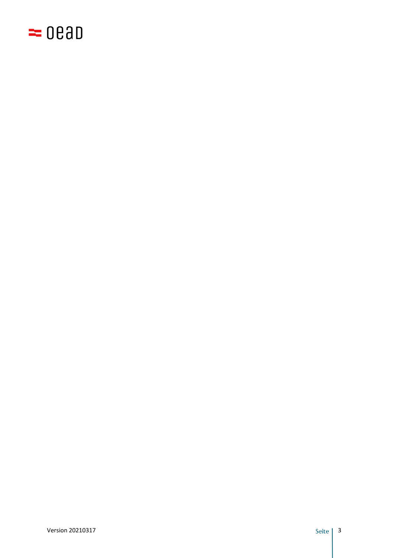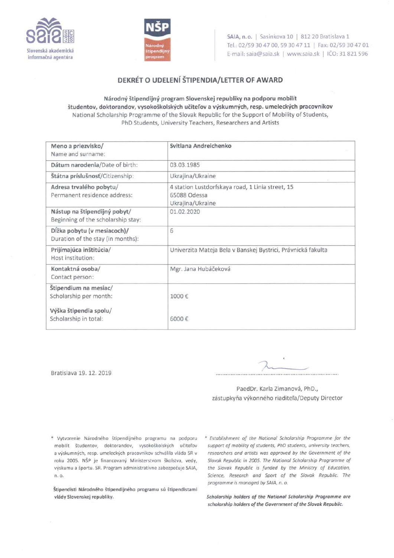



### DEKRÉT O UDELENÍ ŠTIPENDIA/LETTER OF AWARD

Národný štipendijný program Slovenskej republiky na podporu mobilít študentov, doktorandov, vysokoškolských učiteľov a výskumných, resp. umeleckých pracovníkov National Scholarship Programme of the Slovak Republic for the Support of Mobility of Students, PhD Students, University Teachers, Researchers and Artists

| Meno a priezvisko/<br>Name and surname:                            | Svitlana Andreichenko                                                                |
|--------------------------------------------------------------------|--------------------------------------------------------------------------------------|
| Dátum narodenia/Date of birth:                                     | 03.03.1985                                                                           |
| Štátna príslušnosť/Citizenship:                                    | Ukrajina/Ukraine                                                                     |
| Adresa trvalého pobytu/<br>Permanent residence address:            | 4 station Lustdorfskaya road, 1 Linia street, 15<br>65088 Odessa<br>Ukrajina/Ukraine |
| Nástup na štipendijný pobyt/<br>Beginning of the scholarship stay: | 01.02.2020                                                                           |
| Dĺžka pobytu (v mesiacoch)/<br>Duration of the stay (in months):   | 6                                                                                    |
| Prijímajúca inštitúcia/<br>Host institution:                       | Univerzita Mateja Bela v Banskej Bystrici, Právnická fakulta                         |
| Kontaktná osoba/<br>Contact person:                                | Mgr. Jana Hubáčeková                                                                 |
| Štipendium na mesiac/<br>Scholarship per month:                    | 1000€                                                                                |
| Výška štipendia spolu/<br>Scholarship in total:                    | 6000€                                                                                |

Bratislava 19. 12. 2019

PaedDr. Karla Zimanová, PhD., zástupkyňa výkonného riaditeľa/Deputy Director

\* Vytvorenie Národného štipendijného programu na podporu mobilít študentov, doktorandov, vysokoškolských učiteľov a výskumných, resp. umeleckých pracovníkov schválila vláda SR v roku 2005. NŠP je financovaný Ministerstvom školstva, vedy, výskumu a športu. SR. Program administratívne zabezpečuje SAIA, n. o.

Štipendisti Národného štipendijného programu sú štipendistami vlády Slovenskej republiky.

\* Establishment of the National Scholarship Programme for the support of mobility of students, PhD students, university teachers, researchers and artists was approved by the Government of the Slovak Republic in 2005. The National Scholarship Programme of the Slovak Republic is funded by the Ministry of Education, Science, Research and Sport of the Slovak Republic. The programme is managed by SAIA, n. o.

Scholarship holders of the National Scholarship Programme are scholarship holders of the Government of the Slovak Republic.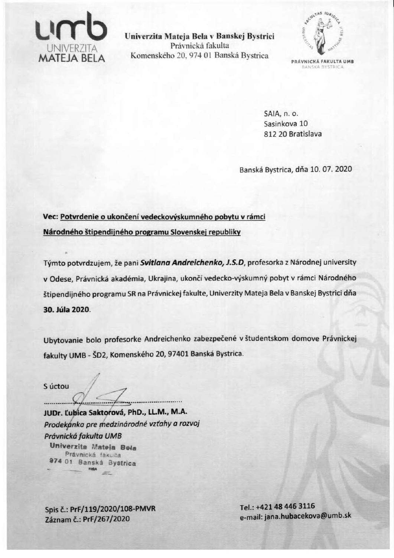

Univerzita Mateja Bela v Banskej Bystrici Právnická fakulta Komenského 20. 974 01 Banská Bystrica



SAIA, n. o. Sasinkova 10 812 20 Bratislava

Banská Bystrica, dňa 10. 07. 2020

## Vec: Potvrdenie o ukončení vedeckovýskumného pobytu v rámci Národného štipendijného programu Slovenskej republiky

Týmto potvrdzujem, že pani Svitlana Andreichenko, J.S.D, profesorka z Národnej university v Odese, Právnická akadémia, Ukrajina, ukončí vedecko-výskumný pobyt v rámci Národného štipendijného programu SR na Právnickej fakulte, Univerzity Mateja Bela v Banskej Bystrici dňa 30. Júla 2020.

Ubytovanie bolo profesorke Andreichenko zabezpečené v študentskom domove Právnickej fakulty UMB - ŠD2, Komenského 20, 97401 Banská Bystrica.

S úctou

JUDr. Ľubica Saktorová, PhD., LL.M., M.A. Prodekánka pre medzinárodné vzťahy a rozvoj Právnická fakulta UMB Univerzita Mateja Bela Právnická fakulta 974 01 Banská Bystrica matus

Spis č.: PrF/119/2020/108-PMVR Záznam č.: PrF/267/2020

Tel.: +421 48 446 3116 e-mail: jana.hubacekova@umb.sk